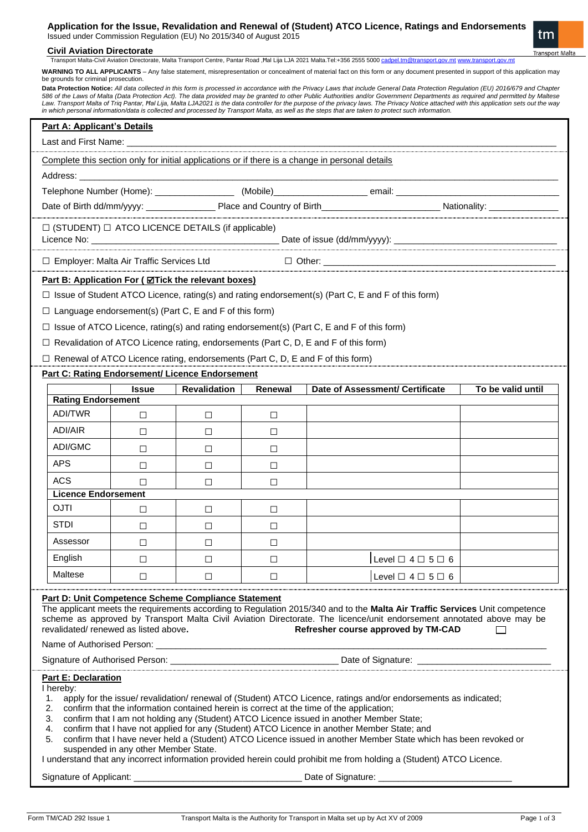## **Civil Aviation Directorate**

Transport Malta-Civil Aviation Directorate, Malta Transport Centre, Pantar Road ,Ħal Lija LJA 2021 Malta.Tel:+356 2555 5000 cadp

WARNING TO ALL APPLICANTS - Any false statement, misrepresentation or concealment of material fact on this form or any document presented in support of this application may be grounds for criminal prosecution.

Data Protection Notice: *All data collected in this form is processed in accordance with the Privacy Laws that include General Data Protection Regulation (EU) 2016/679 and Chapter* 586 of the Laws of Malta (Data Protection Act). The data provided may be granted to other Public Authorities and/or Government Departments as required and permitted by Maltese<br>Law. Transport Malta of Triq Pantar, Hal Lija,

|                                                                                                                                                                                                                                                                                                                                                                                                                                                                                                                                                                                                                                                                                                                                                                                                                                               |              |              |         | in which personal information/data is collected and processed by Transport Malia, as well as the steps that are taken to protect such information |                   |  |  |
|-----------------------------------------------------------------------------------------------------------------------------------------------------------------------------------------------------------------------------------------------------------------------------------------------------------------------------------------------------------------------------------------------------------------------------------------------------------------------------------------------------------------------------------------------------------------------------------------------------------------------------------------------------------------------------------------------------------------------------------------------------------------------------------------------------------------------------------------------|--------------|--------------|---------|---------------------------------------------------------------------------------------------------------------------------------------------------|-------------------|--|--|
| <b>Part A: Applicant's Details</b><br>Last and First Name:                                                                                                                                                                                                                                                                                                                                                                                                                                                                                                                                                                                                                                                                                                                                                                                    |              |              |         |                                                                                                                                                   |                   |  |  |
| Complete this section only for initial applications or if there is a change in personal details                                                                                                                                                                                                                                                                                                                                                                                                                                                                                                                                                                                                                                                                                                                                               |              |              |         |                                                                                                                                                   |                   |  |  |
|                                                                                                                                                                                                                                                                                                                                                                                                                                                                                                                                                                                                                                                                                                                                                                                                                                               |              |              |         |                                                                                                                                                   |                   |  |  |
|                                                                                                                                                                                                                                                                                                                                                                                                                                                                                                                                                                                                                                                                                                                                                                                                                                               |              |              |         |                                                                                                                                                   |                   |  |  |
|                                                                                                                                                                                                                                                                                                                                                                                                                                                                                                                                                                                                                                                                                                                                                                                                                                               |              |              |         |                                                                                                                                                   |                   |  |  |
| $\Box$ (STUDENT) $\Box$ ATCO LICENCE DETAILS (if applicable)                                                                                                                                                                                                                                                                                                                                                                                                                                                                                                                                                                                                                                                                                                                                                                                  |              |              |         |                                                                                                                                                   |                   |  |  |
| $\Box$ Employer: Malta Air Traffic Services Ltd                                                                                                                                                                                                                                                                                                                                                                                                                                                                                                                                                                                                                                                                                                                                                                                               |              |              |         |                                                                                                                                                   |                   |  |  |
| Part B: Application For ( <b>ØTick</b> the relevant boxes)                                                                                                                                                                                                                                                                                                                                                                                                                                                                                                                                                                                                                                                                                                                                                                                    |              |              |         |                                                                                                                                                   |                   |  |  |
| $\Box$ Issue of Student ATCO Licence, rating(s) and rating endorsement(s) (Part C, E and F of this form)                                                                                                                                                                                                                                                                                                                                                                                                                                                                                                                                                                                                                                                                                                                                      |              |              |         |                                                                                                                                                   |                   |  |  |
| $\Box$ Language endorsement(s) (Part C, E and F of this form)                                                                                                                                                                                                                                                                                                                                                                                                                                                                                                                                                                                                                                                                                                                                                                                 |              |              |         |                                                                                                                                                   |                   |  |  |
| □ Issue of ATCO Licence, rating(s) and rating endorsement(s) (Part C, E and F of this form)                                                                                                                                                                                                                                                                                                                                                                                                                                                                                                                                                                                                                                                                                                                                                   |              |              |         |                                                                                                                                                   |                   |  |  |
|                                                                                                                                                                                                                                                                                                                                                                                                                                                                                                                                                                                                                                                                                                                                                                                                                                               |              |              |         | $\Box$ Revalidation of ATCO Licence rating, endorsements (Part C, D, E and F of this form)                                                        |                   |  |  |
| $\Box$ Renewal of ATCO Licence rating, endorsements (Part C, D, E and F of this form)                                                                                                                                                                                                                                                                                                                                                                                                                                                                                                                                                                                                                                                                                                                                                         |              |              |         |                                                                                                                                                   |                   |  |  |
| Part C: Rating Endorsement/ Licence Endorsement                                                                                                                                                                                                                                                                                                                                                                                                                                                                                                                                                                                                                                                                                                                                                                                               |              |              |         |                                                                                                                                                   |                   |  |  |
|                                                                                                                                                                                                                                                                                                                                                                                                                                                                                                                                                                                                                                                                                                                                                                                                                                               | <b>Issue</b> | Revalidation | Renewal | Date of Assessment/ Certificate                                                                                                                   | To be valid until |  |  |
| <b>Rating Endorsement</b>                                                                                                                                                                                                                                                                                                                                                                                                                                                                                                                                                                                                                                                                                                                                                                                                                     |              |              |         |                                                                                                                                                   |                   |  |  |
| <b>ADI/TWR</b>                                                                                                                                                                                                                                                                                                                                                                                                                                                                                                                                                                                                                                                                                                                                                                                                                                | □            | □            | □       |                                                                                                                                                   |                   |  |  |
| ADI/AIR                                                                                                                                                                                                                                                                                                                                                                                                                                                                                                                                                                                                                                                                                                                                                                                                                                       | □            | П            | П       |                                                                                                                                                   |                   |  |  |
| ADI/GMC                                                                                                                                                                                                                                                                                                                                                                                                                                                                                                                                                                                                                                                                                                                                                                                                                                       | $\Box$       | П            | □       |                                                                                                                                                   |                   |  |  |
| <b>APS</b>                                                                                                                                                                                                                                                                                                                                                                                                                                                                                                                                                                                                                                                                                                                                                                                                                                    | $\Box$       | □            | □       |                                                                                                                                                   |                   |  |  |
| <b>ACS</b>                                                                                                                                                                                                                                                                                                                                                                                                                                                                                                                                                                                                                                                                                                                                                                                                                                    | П            | П            | П       |                                                                                                                                                   |                   |  |  |
| <b>Licence Endorsement</b>                                                                                                                                                                                                                                                                                                                                                                                                                                                                                                                                                                                                                                                                                                                                                                                                                    |              |              |         |                                                                                                                                                   |                   |  |  |
| <b>OJTI</b>                                                                                                                                                                                                                                                                                                                                                                                                                                                                                                                                                                                                                                                                                                                                                                                                                                   | □            | □            | □       |                                                                                                                                                   |                   |  |  |
| <b>STDI</b>                                                                                                                                                                                                                                                                                                                                                                                                                                                                                                                                                                                                                                                                                                                                                                                                                                   | □            | □            | □       |                                                                                                                                                   |                   |  |  |
| Assessor                                                                                                                                                                                                                                                                                                                                                                                                                                                                                                                                                                                                                                                                                                                                                                                                                                      | □            | □            | □       |                                                                                                                                                   |                   |  |  |
| English                                                                                                                                                                                                                                                                                                                                                                                                                                                                                                                                                                                                                                                                                                                                                                                                                                       | □            | □            | □       | <b>Contract Contract</b><br>Level $\Box$ 4 $\Box$ 5 $\Box$ 6                                                                                      |                   |  |  |
| Maltese                                                                                                                                                                                                                                                                                                                                                                                                                                                                                                                                                                                                                                                                                                                                                                                                                                       | П            | П            | П       | Level $\Box$ 4 $\Box$ 5 $\Box$ 6                                                                                                                  |                   |  |  |
| <b>Part D: Unit Competence Scheme Compliance Statement</b><br>The applicant meets the requirements according to Regulation 2015/340 and to the Malta Air Traffic Services Unit competence<br>scheme as approved by Transport Malta Civil Aviation Directorate. The licence/unit endorsement annotated above may be<br>revalidated/renewed as listed above.<br>Refresher course approved by TM-CAD                                                                                                                                                                                                                                                                                                                                                                                                                                             |              |              |         |                                                                                                                                                   |                   |  |  |
|                                                                                                                                                                                                                                                                                                                                                                                                                                                                                                                                                                                                                                                                                                                                                                                                                                               |              |              |         |                                                                                                                                                   |                   |  |  |
| <b>Part E: Declaration</b><br>I hereby:<br>apply for the issue/ revalidation/ renewal of (Student) ATCO Licence, ratings and/or endorsements as indicated;<br>1.<br>confirm that the information contained herein is correct at the time of the application;<br>2.<br>confirm that I am not holding any (Student) ATCO Licence issued in another Member State;<br>3.<br>confirm that I have not applied for any (Student) ATCO Licence in another Member State; and<br>4.<br>confirm that I have never held a (Student) ATCO Licence issued in another Member State which has been revoked or<br>5.<br>suspended in any other Member State.<br>I understand that any incorrect information provided herein could prohibit me from holding a (Student) ATCO Licence.<br>Signature of Applicant: ____________<br>Date of Signature: ___________ |              |              |         |                                                                                                                                                   |                   |  |  |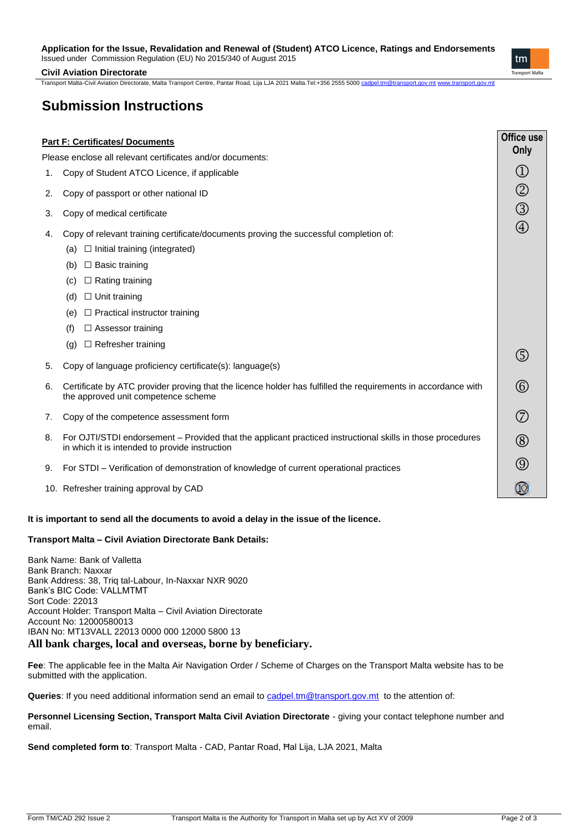## **Application for the Issue, Revalidation and Renewal of (Student) ATCO Licence, Ratings and Endorsements**

Issued under Commission Regulation (EU) No 2015/340 of August 2015

 $\mathsf{t}$ m Transport Malta

#### **Civil Aviation Directorate**

Transport Malta-Civil Aviation Directorate, Malta Transport Centre, Pantar Road, Lija LJA 2021 Malta.Tel:+356 2555 5000 [cadpel.tm@transport.gov.mt](mailto:cadpel.tm@transport.gov.mt) [www.transport.gov.mt](http://www.transport.gov.mt/)

# **Submission Instructions**

| Office use<br><b>Part F: Certificates/ Documents</b>       |                                                                                                                                                                      |             |  |  |
|------------------------------------------------------------|----------------------------------------------------------------------------------------------------------------------------------------------------------------------|-------------|--|--|
| Please enclose all relevant certificates and/or documents: |                                                                                                                                                                      |             |  |  |
| 1.                                                         | Copy of Student ATCO Licence, if applicable                                                                                                                          |             |  |  |
| 2.                                                         | Copy of passport or other national ID                                                                                                                                |             |  |  |
| 3.                                                         | Copy of medical certificate                                                                                                                                          | $\circledS$ |  |  |
| 4.                                                         | Copy of relevant training certificate/documents proving the successful completion of:<br>$\Box$ Initial training (integrated)<br>(a)<br>$\Box$ Basic training<br>(b) | $\bigcirc$  |  |  |
|                                                            | $\Box$ Rating training<br>(c)                                                                                                                                        |             |  |  |
|                                                            | $\Box$ Unit training<br>(d)                                                                                                                                          |             |  |  |
|                                                            | $\Box$ Practical instructor training<br>(e)                                                                                                                          |             |  |  |
|                                                            | $\Box$ Assessor training<br>(f)                                                                                                                                      |             |  |  |
|                                                            | $\Box$ Refresher training<br>(q)                                                                                                                                     |             |  |  |
| 5.                                                         | Copy of language proficiency certificate(s): language(s)                                                                                                             |             |  |  |
| 6.                                                         | Certificate by ATC provider proving that the licence holder has fulfilled the requirements in accordance with<br>the approved unit competence scheme                 | $\circledS$ |  |  |
| 7.                                                         | Copy of the competence assessment form                                                                                                                               | $\circled7$ |  |  |
| 8.                                                         | For OJTI/STDI endorsement – Provided that the applicant practiced instructional skills in those procedures<br>in which it is intended to provide instruction         |             |  |  |
| 9.                                                         | For STDI – Verification of demonstration of knowledge of current operational practices                                                                               | $\circledS$ |  |  |
|                                                            | 10. Refresher training approval by CAD                                                                                                                               |             |  |  |

### **It is important to send all the documents to avoid a delay in the issue of the licence.**

### **Transport Malta – Civil Aviation Directorate Bank Details:**

Bank Name: Bank of Valletta Bank Branch: Naxxar Bank Address: 38, Triq tal-Labour, In-Naxxar NXR 9020 Bank's BIC Code: VALLMTMT Sort Code: 22013 Account Holder: Transport Malta – Civil Aviation Directorate Account No: 12000580013 IBAN No: MT13VALL 22013 0000 000 12000 5800 13 **All bank charges, local and overseas, borne by beneficiary.**

**Fee**: The applicable fee in the Malta Air Navigation Order / Scheme of Charges on the Transport Malta website has to be submitted with the application.

Queries: If you need additional information send an email to **cadpel.tm@transport.gov.mt** to the attention of:

Personnel Licensing Section, Transport Malta Civil Aviation Directorate - giving your contact telephone number and email.

**Send completed form to**: Transport Malta - CAD, Pantar Road, Ħal Lija, LJA 2021, Malta